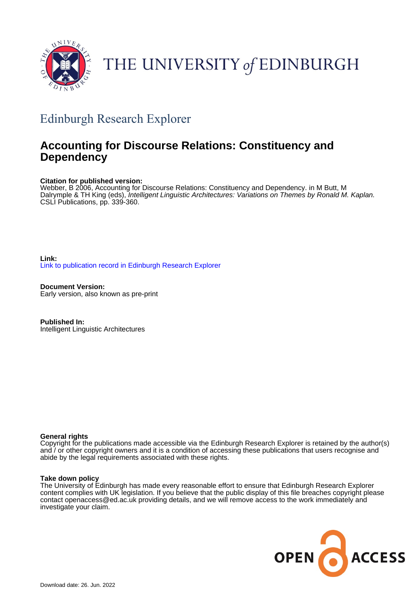

# THE UNIVERSITY of EDINBURGH

## Edinburgh Research Explorer

## **Accounting for Discourse Relations: Constituency and Dependency**

## **Citation for published version:**

Webber, B 2006, Accounting for Discourse Relations: Constituency and Dependency. in M Butt, M Dalrymple & TH King (eds), Intelligent Linguistic Architectures: Variations on Themes by Ronald M. Kaplan. CSLI Publications, pp. 339-360.

**Link:** [Link to publication record in Edinburgh Research Explorer](https://www.research.ed.ac.uk/en/publications/70f75bc6-b8de-4586-8c24-3b92236a3763)

**Document Version:** Early version, also known as pre-print

**Published In:** Intelligent Linguistic Architectures

## **General rights**

Copyright for the publications made accessible via the Edinburgh Research Explorer is retained by the author(s) and / or other copyright owners and it is a condition of accessing these publications that users recognise and abide by the legal requirements associated with these rights.

## **Take down policy**

The University of Edinburgh has made every reasonable effort to ensure that Edinburgh Research Explorer content complies with UK legislation. If you believe that the public display of this file breaches copyright please contact openaccess@ed.ac.uk providing details, and we will remove access to the work immediately and investigate your claim.

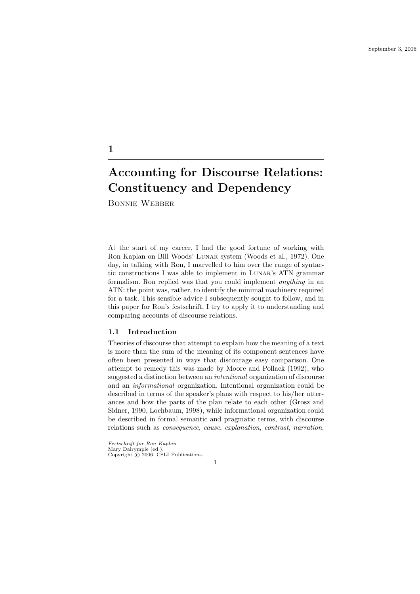Bonnie Webber

1

At the start of my career, I had the good fortune of working with Ron Kaplan on Bill Woods' Lunar system (Woods et al., 1972). One day, in talking with Ron, I marvelled to him over the range of syntactic constructions I was able to implement in Lunar's ATN grammar formalism. Ron replied was that you could implement anything in an ATN: the point was, rather, to identify the minimal machinery required for a task. This sensible advice I subsequently sought to follow, and in this paper for Ron's festschrift, I try to apply it to understanding and comparing accounts of discourse relations.

## 1.1 Introduction

Theories of discourse that attempt to explain how the meaning of a text is more than the sum of the meaning of its component sentences have often been presented in ways that discourage easy comparison. One attempt to remedy this was made by Moore and Pollack (1992), who suggested a distinction between an intentional organization of discourse and an informational organization. Intentional organization could be described in terms of the speaker's plans with respect to his/her utterances and how the parts of the plan relate to each other (Grosz and Sidner, 1990, Lochbaum, 1998), while informational organization could be described in formal semantic and pragmatic terms, with discourse relations such as consequence, cause, explanation, contrast, narration,

Festschrift for Ron Kaplan. Mary Dalrymple (ed.). Copyright  $\odot$  2006, CSLI Publications.

1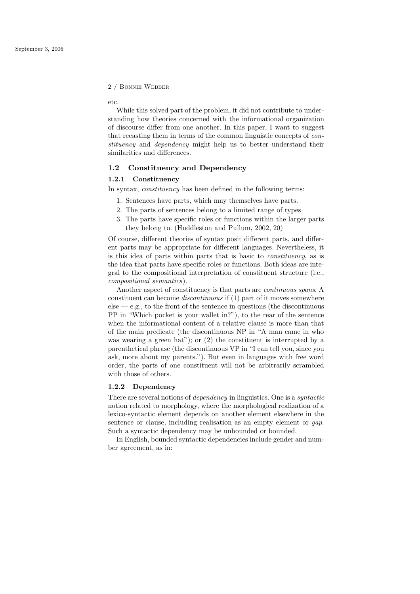etc.

While this solved part of the problem, it did not contribute to understanding how theories concerned with the informational organization of discourse differ from one another. In this paper, I want to suggest that recasting them in terms of the common linguistic concepts of constituency and *dependency* might help us to better understand their similarities and differences.

## 1.2 Constituency and Dependency

## 1.2.1 Constituency

In syntax, constituency has been defined in the following terms:

- 1. Sentences have parts, which may themselves have parts.
- 2. The parts of sentences belong to a limited range of types.
- 3. The parts have specific roles or functions within the larger parts they belong to. (Huddleston and Pullum, 2002, 20)

Of course, different theories of syntax posit different parts, and different parts may be appropriate for different languages. Nevertheless, it is this idea of parts within parts that is basic to constituency, as is the idea that parts have specific roles or functions. Both ideas are integral to the compositional interpretation of constituent structure (i.e., compositional semantics).

Another aspect of constituency is that parts are continuous spans. A constituent can become discontinuous if (1) part of it moves somewhere  $else - e.g., to the front of the sentence in questions (the discontinuous)$ PP in "Which pocket is your wallet in?"), to the rear of the sentence when the informational content of a relative clause is more than that of the main predicate (the discontinuous NP in "A man came in who was wearing a green hat"); or (2) the constituent is interrupted by a parenthetical phrase (the discontinuous VP in "I can tell you, since you ask, more about my parents."). But even in languages with free word order, the parts of one constituent will not be arbitrarily scrambled with those of others.

#### 1.2.2 Dependency

There are several notions of dependency in linguistics. One is a syntactic notion related to morphology, where the morphological realization of a lexico-syntactic element depends on another element elsewhere in the sentence or clause, including realisation as an empty element or *gap*. Such a syntactic dependency may be unbounded or bounded.

In English, bounded syntactic dependencies include gender and number agreement, as in: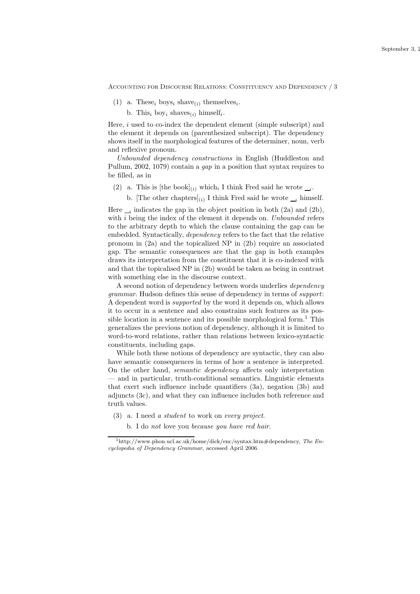- (1) a. These<sub>i</sub> boys<sub>i</sub> shave<sub>(i)</sub> themselves<sub>i</sub>.
	- b. This<sub>i</sub> boy<sub>i</sub> shaves<sub>(i)</sub> himself<sub>i</sub>.

Here, i used to co-index the dependent element (simple subscript) and the element it depends on (parenthesized subscript). The dependency shows itself in the morphological features of the determiner, noun, verb and reflexive pronoun.

Unbounded dependency constructions in English (Huddleston and Pullum, 2002, 1079) contain a gap in a position that syntax requires to be filled, as in

- (2) a. This is [the book]<sub>(i)</sub> which, I think Fred said he wrote  $\mu$ .
	- b. [The other chapters]<sub>(i)</sub> I think Fred said he wrote  $\mathcal{I}_i$  himself.

Here  $_{i}$  indicates the gap in the object position in both (2a) and (2b), with *i* being the index of the element it depends on. *Unbounded* refers to the arbitrary depth to which the clause containing the gap can be embedded. Syntactically, dependency refers to the fact that the relative pronoun in (2a) and the topicalized NP in (2b) require an associated gap. The semantic consequences are that the gap in both examples draws its interpretation from the constituent that it is co-indexed with and that the topicalised NP in (2b) would be taken as being in contrast with something else in the discourse context.

A second notion of dependency between words underlies dependency grammar. Hudson defines this sense of dependency in terms of support: A dependent word is supported by the word it depends on, which allows it to occur in a sentence and also constrains such features as its possible location in a sentence and its possible morphological form.<sup>1</sup> This generalizes the previous notion of dependency, although it is limited to word-to-word relations, rather than relations between lexico-syntactic constituents, including gaps.

While both these notions of dependency are syntactic, they can also have semantic consequences in terms of how a sentence is interpreted. On the other hand, semantic dependency affects only interpretation — and in particular, truth-conditional semantics. Linguistic elements that exert such influence include quantifiers (3a), negation (3b) and adjuncts (3c), and what they can influence includes both reference and truth values.

- (3) a. I need a student to work on every project.
	- b. I do not love you because you have red hair.

 $1$ http://www.phon.ucl.ac.uk/home/dick/enc/syntax.htm#dependency, The Encyclopedia of Dependency Grammar, accessed April 2006.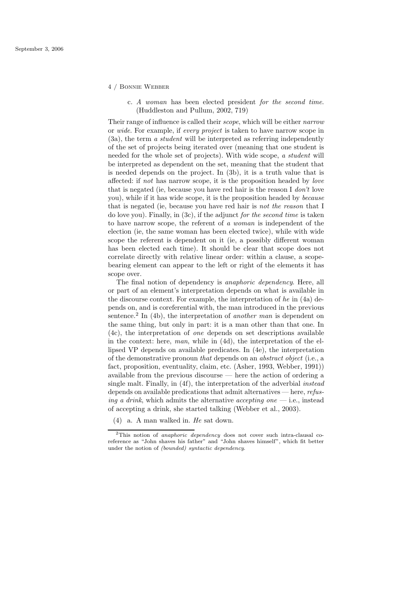- 4 / Bonnie Webber
	- c. A woman has been elected president for the second time. (Huddleston and Pullum, 2002, 719)

Their range of influence is called their *scope*, which will be either *narrow* or wide. For example, if every project is taken to have narrow scope in (3a), the term a student will be interpreted as referring independently of the set of projects being iterated over (meaning that one student is needed for the whole set of projects). With wide scope, a student will be interpreted as dependent on the set, meaning that the student that is needed depends on the project. In (3b), it is a truth value that is affected: if not has narrow scope, it is the proposition headed by love that is negated (ie, because you have red hair is the reason I don't love you), while if it has wide scope, it is the proposition headed by because that is negated (ie, because you have red hair is not the reason that I do love you). Finally, in (3c), if the adjunct for the second time is taken to have narrow scope, the referent of a woman is independent of the election (ie, the same woman has been elected twice), while with wide scope the referent is dependent on it (ie, a possibly different woman has been elected each time). It should be clear that scope does not correlate directly with relative linear order: within a clause, a scopebearing element can appear to the left or right of the elements it has scope over.

The final notion of dependency is anaphoric dependency. Here, all or part of an element's interpretation depends on what is available in the discourse context. For example, the interpretation of  $he$  in  $(4a)$  depends on, and is coreferential with, the man introduced in the previous sentence.<sup>2</sup> In (4b), the interpretation of another man is dependent on the same thing, but only in part: it is a man other than that one. In (4c), the interpretation of one depends on set descriptions available in the context: here, man, while in (4d), the interpretation of the ellipsed VP depends on available predicates. In (4e), the interpretation of the demonstrative pronoun that depends on an abstract object (i.e., a fact, proposition, eventuality, claim, etc. (Asher, 1993, Webber, 1991)) available from the previous discourse — here the action of ordering a single malt. Finally, in (4f), the interpretation of the adverbial instead depends on available predications that admit alternatives — here, refus*ing a drink*, which admits the alternative *accepting one*  $-$  *i.e.*, instead of accepting a drink, she started talking (Webber et al., 2003).

(4) a. A man walked in. He sat down.

 $2$ This notion of *anaphoric dependency* does not cover such intra-clausal coreference as "John shaves his father" and "John shaves himself", which fit better under the notion of (bounded) syntactic dependency.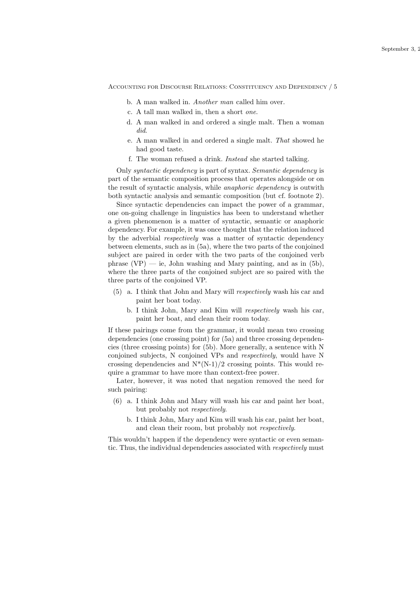- b. A man walked in. Another man called him over.
- c. A tall man walked in, then a short one.
- d. A man walked in and ordered a single malt. Then a woman did.
- e. A man walked in and ordered a single malt. That showed he had good taste.
- f. The woman refused a drink. Instead she started talking.

Only syntactic dependency is part of syntax. Semantic dependency is part of the semantic composition process that operates alongside or on the result of syntactic analysis, while anaphoric dependency is outwith both syntactic analysis and semantic composition (but cf. footnote 2).

Since syntactic dependencies can impact the power of a grammar, one on-going challenge in linguistics has been to understand whether a given phenomenon is a matter of syntactic, semantic or anaphoric dependency. For example, it was once thought that the relation induced by the adverbial respectively was a matter of syntactic dependency between elements, such as in (5a), where the two parts of the conjoined subject are paired in order with the two parts of the conjoined verb phrase  $(VP)$  — ie, John washing and Mary painting, and as in  $(5b)$ , where the three parts of the conjoined subject are so paired with the three parts of the conjoined VP.

- (5) a. I think that John and Mary will respectively wash his car and paint her boat today.
	- b. I think John, Mary and Kim will respectively wash his car, paint her boat, and clean their room today.

If these pairings come from the grammar, it would mean two crossing dependencies (one crossing point) for (5a) and three crossing dependencies (three crossing points) for (5b). More generally, a sentence with N conjoined subjects, N conjoined VPs and respectively, would have N crossing dependencies and  $N^*(N-1)/2$  crossing points. This would require a grammar to have more than context-free power.

Later, however, it was noted that negation removed the need for such pairing:

- (6) a. I think John and Mary will wash his car and paint her boat, but probably not respectively.
	- b. I think John, Mary and Kim will wash his car, paint her boat, and clean their room, but probably not respectively.

This wouldn't happen if the dependency were syntactic or even semantic. Thus, the individual dependencies associated with respectively must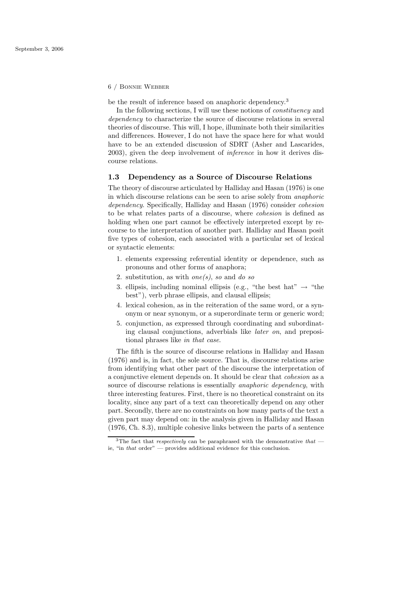be the result of inference based on anaphoric dependency.<sup>3</sup>

In the following sections, I will use these notions of constituency and dependency to characterize the source of discourse relations in several theories of discourse. This will, I hope, illuminate both their similarities and differences. However, I do not have the space here for what would have to be an extended discussion of SDRT (Asher and Lascarides, 2003), given the deep involvement of inference in how it derives discourse relations.

## 1.3 Dependency as a Source of Discourse Relations

The theory of discourse articulated by Halliday and Hasan (1976) is one in which discourse relations can be seen to arise solely from anaphoric dependency. Specifically, Halliday and Hasan (1976) consider cohesion to be what relates parts of a discourse, where cohesion is defined as holding when one part cannot be effectively interpreted except by recourse to the interpretation of another part. Halliday and Hasan posit five types of cohesion, each associated with a particular set of lexical or syntactic elements:

- 1. elements expressing referential identity or dependence, such as pronouns and other forms of anaphora;
- 2. substitution, as with  $one(s)$ , so and do so
- 3. ellipsis, including nominal ellipsis (e.g., "the best hat"  $\rightarrow$  "the best"), verb phrase ellipsis, and clausal ellipsis;
- 4. lexical cohesion, as in the reiteration of the same word, or a synonym or near synonym, or a superordinate term or generic word;
- 5. conjunction, as expressed through coordinating and subordinating clausal conjunctions, adverbials like later on, and prepositional phrases like in that case.

The fifth is the source of discourse relations in Halliday and Hasan (1976) and is, in fact, the sole source. That is, discourse relations arise from identifying what other part of the discourse the interpretation of a conjunctive element depends on. It should be clear that cohesion as a source of discourse relations is essentially *anaphoric dependency*, with three interesting features. First, there is no theoretical constraint on its locality, since any part of a text can theoretically depend on any other part. Secondly, there are no constraints on how many parts of the text a given part may depend on: in the analysis given in Halliday and Hasan (1976, Ch. 8.3), multiple cohesive links between the parts of a sentence

<sup>&</sup>lt;sup>3</sup>The fact that *respectively* can be paraphrased with the demonstrative that  $$ ie, "in that order" — provides additional evidence for this conclusion.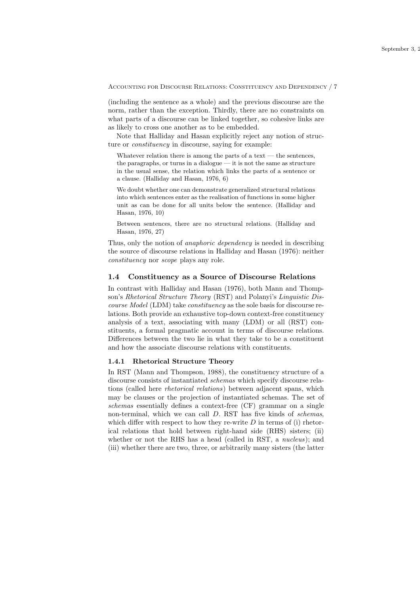(including the sentence as a whole) and the previous discourse are the norm, rather than the exception. Thirdly, there are no constraints on what parts of a discourse can be linked together, so cohesive links are as likely to cross one another as to be embedded.

Note that Halliday and Hasan explicitly reject any notion of structure or constituency in discourse, saying for example:

Whatever relation there is among the parts of a text  $-$  the sentences, the paragraphs, or turns in a dialogue  $-$  it is not the same as structure in the usual sense, the relation which links the parts of a sentence or a clause. (Halliday and Hasan, 1976, 6)

We doubt whether one can demonstrate generalized structural relations into which sentences enter as the realisation of functions in some higher unit as can be done for all units below the sentence. (Halliday and Hasan, 1976, 10)

Between sentences, there are no structural relations. (Halliday and Hasan, 1976, 27)

Thus, only the notion of anaphoric dependency is needed in describing the source of discourse relations in Halliday and Hasan (1976): neither constituency nor scope plays any role.

#### 1.4 Constituency as a Source of Discourse Relations

In contrast with Halliday and Hasan (1976), both Mann and Thompson's Rhetorical Structure Theory (RST) and Polanyi's Linguistic Discourse Model (LDM) take constituency as the sole basis for discourse relations. Both provide an exhaustive top-down context-free constituency analysis of a text, associating with many (LDM) or all (RST) constituents, a formal pragmatic account in terms of discourse relations. Differences between the two lie in what they take to be a constituent and how the associate discourse relations with constituents.

## 1.4.1 Rhetorical Structure Theory

In RST (Mann and Thompson, 1988), the constituency structure of a discourse consists of instantiated schemas which specify discourse relations (called here rhetorical relations) between adjacent spans, which may be clauses or the projection of instantiated schemas. The set of schemas essentially defines a context-free (CF) grammar on a single non-terminal, which we can call D. RST has five kinds of schemas, which differ with respect to how they re-write  $D$  in terms of (i) rhetorical relations that hold between right-hand side (RHS) sisters; (ii) whether or not the RHS has a head (called in RST, a *nucleus*); and (iii) whether there are two, three, or arbitrarily many sisters (the latter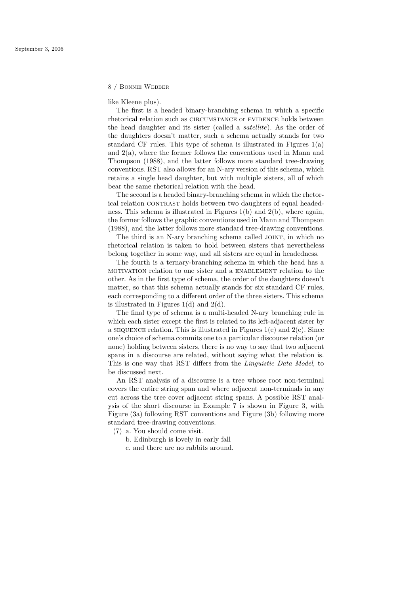like Kleene plus).

The first is a headed binary-branching schema in which a specific rhetorical relation such as CIRCUMSTANCE or EVIDENCE holds between the head daughter and its sister (called a satellite). As the order of the daughters doesn't matter, such a schema actually stands for two standard CF rules. This type of schema is illustrated in Figures  $1(a)$ and 2(a), where the former follows the conventions used in Mann and Thompson (1988), and the latter follows more standard tree-drawing conventions. RST also allows for an N-ary version of this schema, which retains a single head daughter, but with multiple sisters, all of which bear the same rhetorical relation with the head.

The second is a headed binary-branching schema in which the rhetorical relation CONTRAST holds between two daughters of equal headedness. This schema is illustrated in Figures 1(b) and 2(b), where again, the former follows the graphic conventions used in Mann and Thompson (1988), and the latter follows more standard tree-drawing conventions.

The third is an N-ary branching schema called JOINT, in which no rhetorical relation is taken to hold between sisters that nevertheless belong together in some way, and all sisters are equal in headedness.

The fourth is a ternary-branching schema in which the head has a motivation relation to one sister and a enablement relation to the other. As in the first type of schema, the order of the daughters doesn't matter, so that this schema actually stands for six standard CF rules, each corresponding to a different order of the three sisters. This schema is illustrated in Figures  $1(d)$  and  $2(d)$ .

The final type of schema is a multi-headed N-ary branching rule in which each sister except the first is related to its left-adjacent sister by a sequence relation. This is illustrated in Figures  $1(e)$  and  $2(e)$ . Since one's choice of schema commits one to a particular discourse relation (or none) holding between sisters, there is no way to say that two adjacent spans in a discourse are related, without saying what the relation is. This is one way that RST differs from the Linguistic Data Model, to be discussed next.

An RST analysis of a discourse is a tree whose root non-terminal covers the entire string span and where adjacent non-terminals in any cut across the tree cover adjacent string spans. A possible RST analysis of the short discourse in Example 7 is shown in Figure 3, with Figure (3a) following RST conventions and Figure (3b) following more standard tree-drawing conventions.

- (7) a. You should come visit.
	- b. Edinburgh is lovely in early fall
	- c. and there are no rabbits around.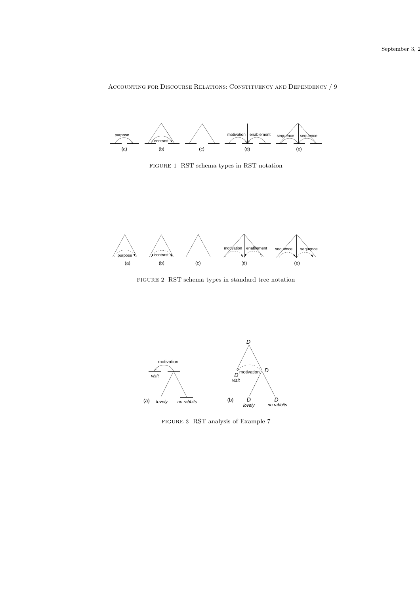

FIGURE 1 RST schema types in RST notation



FIGURE 2 RST schema types in standard tree notation



FIGURE 3 RST analysis of Example 7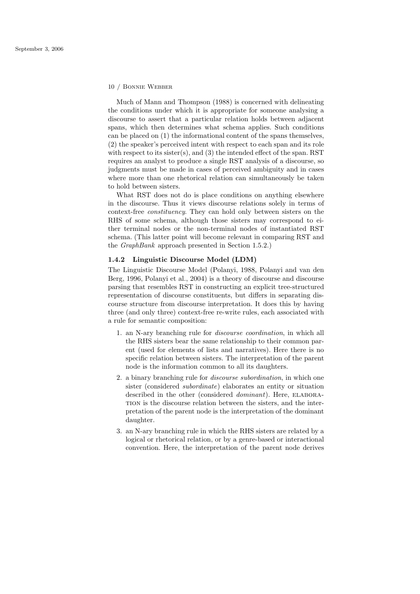Much of Mann and Thompson (1988) is concerned with delineating the conditions under which it is appropriate for someone analysing a discourse to assert that a particular relation holds between adjacent spans, which then determines what schema applies. Such conditions can be placed on (1) the informational content of the spans themselves, (2) the speaker's perceived intent with respect to each span and its role with respect to its sister(s), and (3) the intended effect of the span. RST requires an analyst to produce a single RST analysis of a discourse, so judgments must be made in cases of perceived ambiguity and in cases where more than one rhetorical relation can simultaneously be taken to hold between sisters.

What RST does not do is place conditions on anything elsewhere in the discourse. Thus it views discourse relations solely in terms of context-free constituency. They can hold only between sisters on the RHS of some schema, although those sisters may correspond to either terminal nodes or the non-terminal nodes of instantiated RST schema. (This latter point will become relevant in comparing RST and the GraphBank approach presented in Section 1.5.2.)

## 1.4.2 Linguistic Discourse Model (LDM)

The Linguistic Discourse Model (Polanyi, 1988, Polanyi and van den Berg, 1996, Polanyi et al., 2004) is a theory of discourse and discourse parsing that resembles RST in constructing an explicit tree-structured representation of discourse constituents, but differs in separating discourse structure from discourse interpretation. It does this by having three (and only three) context-free re-write rules, each associated with a rule for semantic composition:

- 1. an N-ary branching rule for discourse coordination, in which all the RHS sisters bear the same relationship to their common parent (used for elements of lists and narratives). Here there is no specific relation between sisters. The interpretation of the parent node is the information common to all its daughters.
- 2. a binary branching rule for discourse subordination, in which one sister (considered subordinate) elaborates an entity or situation described in the other (considered *dominant*). Here, ELABORAtion is the discourse relation between the sisters, and the interpretation of the parent node is the interpretation of the dominant daughter.
- 3. an N-ary branching rule in which the RHS sisters are related by a logical or rhetorical relation, or by a genre-based or interactional convention. Here, the interpretation of the parent node derives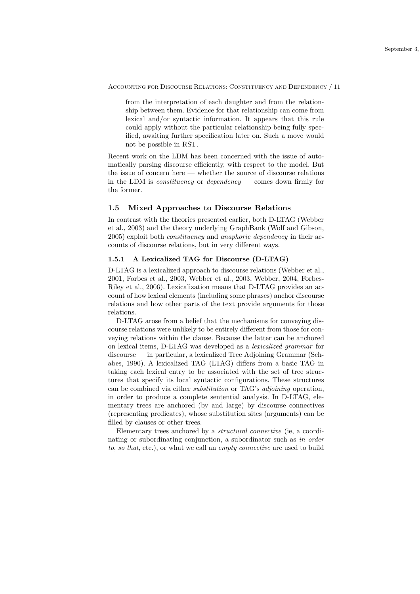from the interpretation of each daughter and from the relationship between them. Evidence for that relationship can come from lexical and/or syntactic information. It appears that this rule could apply without the particular relationship being fully specified, awaiting further specification later on. Such a move would not be possible in RST.

Recent work on the LDM has been concerned with the issue of automatically parsing discourse efficiently, with respect to the model. But the issue of concern here — whether the source of discourse relations in the LDM is *constituency* or *dependency* — comes down firmly for the former.

## 1.5 Mixed Approaches to Discourse Relations

In contrast with the theories presented earlier, both D-LTAG (Webber et al., 2003) and the theory underlying GraphBank (Wolf and Gibson, 2005) exploit both constituency and anaphoric dependency in their accounts of discourse relations, but in very different ways.

## 1.5.1 A Lexicalized TAG for Discourse (D-LTAG)

D-LTAG is a lexicalized approach to discourse relations (Webber et al., 2001, Forbes et al., 2003, Webber et al., 2003, Webber, 2004, Forbes-Riley et al., 2006). Lexicalization means that D-LTAG provides an account of how lexical elements (including some phrases) anchor discourse relations and how other parts of the text provide arguments for those relations.

D-LTAG arose from a belief that the mechanisms for conveying discourse relations were unlikely to be entirely different from those for conveying relations within the clause. Because the latter can be anchored on lexical items, D-LTAG was developed as a lexicalized grammar for discourse — in particular, a lexicalized Tree Adjoining Grammar (Schabes, 1990). A lexicalized TAG (LTAG) differs from a basic TAG in taking each lexical entry to be associated with the set of tree structures that specify its local syntactic configurations. These structures can be combined via either substitution or TAG's adjoining operation, in order to produce a complete sentential analysis. In D-LTAG, elementary trees are anchored (by and large) by discourse connectives (representing predicates), whose substitution sites (arguments) can be filled by clauses or other trees.

Elementary trees anchored by a structural connective (ie, a coordinating or subordinating conjunction, a subordinator such as in order to, so that, etc.), or what we call an empty connective are used to build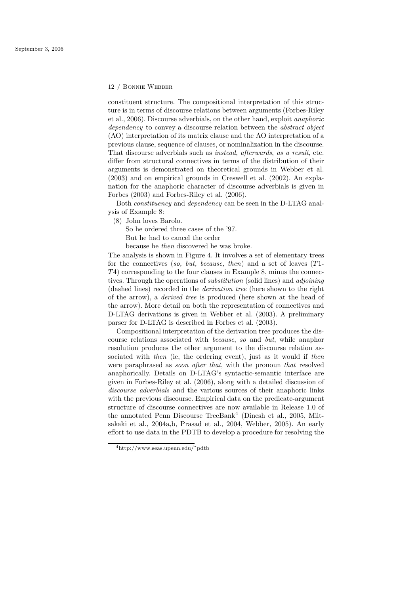constituent structure. The compositional interpretation of this structure is in terms of discourse relations between arguments (Forbes-Riley et al., 2006). Discourse adverbials, on the other hand, exploit anaphoric dependency to convey a discourse relation between the *abstract* object (AO) interpretation of its matrix clause and the AO interpretation of a previous clause, sequence of clauses, or nominalization in the discourse. That discourse adverbials such as instead, afterwards, as a result, etc. differ from structural connectives in terms of the distribution of their arguments is demonstrated on theoretical grounds in Webber et al. (2003) and on empirical grounds in Creswell et al. (2002). An explanation for the anaphoric character of discourse adverbials is given in Forbes (2003) and Forbes-Riley et al. (2006).

Both constituency and dependency can be seen in the D-LTAG analysis of Example 8:

(8) John loves Barolo.

So he ordered three cases of the '97.

But he had to cancel the order

because he then discovered he was broke.

The analysis is shown in Figure 4. It involves a set of elementary trees for the connectives (so, but, because, then) and a set of leaves  $(T1$ - $T<sub>4</sub>$ ) corresponding to the four clauses in Example 8, minus the connectives. Through the operations of *substitution* (solid lines) and *adjoining* (dashed lines) recorded in the derivation tree (here shown to the right of the arrow), a derived tree is produced (here shown at the head of the arrow). More detail on both the representation of connectives and D-LTAG derivations is given in Webber et al. (2003). A preliminary parser for D-LTAG is described in Forbes et al. (2003).

Compositional interpretation of the derivation tree produces the discourse relations associated with because, so and but, while anaphor resolution produces the other argument to the discourse relation associated with *then* (ie, the ordering event), just as it would if *then* were paraphrased as *soon after that*, with the pronoun *that* resolved anaphorically. Details on D-LTAG's syntactic-semantic interface are given in Forbes-Riley et al. (2006), along with a detailed discussion of discourse adverbials and the various sources of their anaphoric links with the previous discourse. Empirical data on the predicate-argument structure of discourse connectives are now available in Release 1.0 of the annotated Penn Discourse TreeBank<sup>4</sup> (Dinesh et al., 2005, Miltsakaki et al., 2004a,b, Prasad et al., 2004, Webber, 2005). An early effort to use data in the PDTB to develop a procedure for resolving the

<sup>4</sup>http://www.seas.upenn.edu/˜pdtb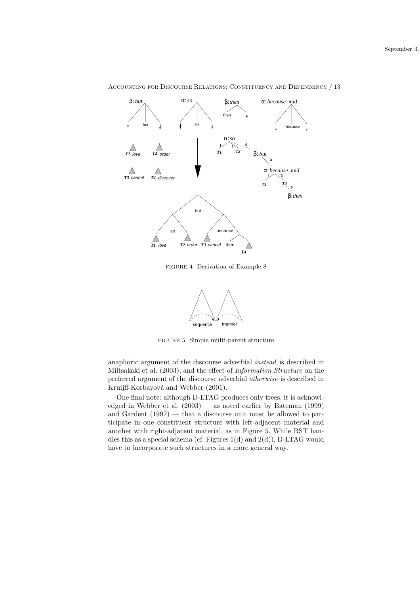

FIGURE 4 Derivation of Example 8



FIGURE 5 Simple multi-parent structure

anaphoric argument of the discourse adverbial instead is described in Miltsakaki et al. (2003), and the effect of Information Structure on the preferred argument of the discourse adverbial otherwise is described in Kruijff-Korbayová and Webber (2001).

One final note: although D-LTAG produces only trees, it is acknowledged in Webber et al.  $(2003)$  — as noted earlier by Bateman  $(1999)$ and Gardent (1997) — that a discourse unit must be allowed to participate in one constituent structure with left-adjacent material and another with right-adjacent material, as in Figure 5. While RST handles this as a special schema (cf. Figures  $1(d)$  and  $2(d)$ ), D-LTAG would have to incorporate such structures in a more general way.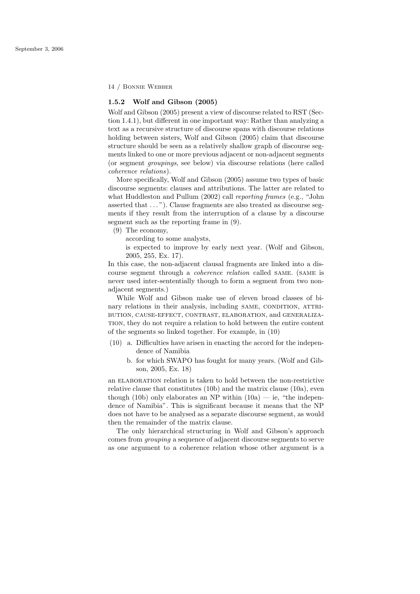## 1.5.2 Wolf and Gibson (2005)

Wolf and Gibson (2005) present a view of discourse related to RST (Section 1.4.1), but different in one important way: Rather than analyzing a text as a recursive structure of discourse spans with discourse relations holding between sisters, Wolf and Gibson (2005) claim that discourse structure should be seen as a relatively shallow graph of discourse segments linked to one or more previous adjacent or non-adjacent segments (or segment groupings, see below) via discourse relations (here called coherence relations).

More specifically, Wolf and Gibson (2005) assume two types of basic discourse segments: clauses and attributions. The latter are related to what Huddleston and Pullum (2002) call reporting frames (e.g., "John asserted that  $\dots$ "). Clause fragments are also treated as discourse segments if they result from the interruption of a clause by a discourse segment such as the reporting frame in (9).

(9) The economy,

according to some analysts,

is expected to improve by early next year. (Wolf and Gibson, 2005, 255, Ex. 17).

In this case, the non-adjacent clausal fragments are linked into a discourse segment through a coherence relation called same. (same is never used inter-sententially though to form a segment from two nonadjacent segments.)

While Wolf and Gibson make use of eleven broad classes of binary relations in their analysis, including SAME, CONDITION, ATTRIbution, cause-effect, contrast, elaboration, and generalization, they do not require a relation to hold between the entire content of the segments so linked together. For example, in (10)

- (10) a. Difficulties have arisen in enacting the accord for the independence of Namibia
	- b. for which SWAPO has fought for many years. (Wolf and Gibson, 2005, Ex. 18)

an ELABORATION relation is taken to hold between the non-restrictive relative clause that constitutes (10b) and the matrix clause (10a), even though (10b) only elaborates an NP within  $(10a)$  — ie, "the independence of Namibia". This is significant because it means that the NP does not have to be analysed as a separate discourse segment, as would then the remainder of the matrix clause.

The only hierarchical structuring in Wolf and Gibson's approach comes from grouping a sequence of adjacent discourse segments to serve as one argument to a coherence relation whose other argument is a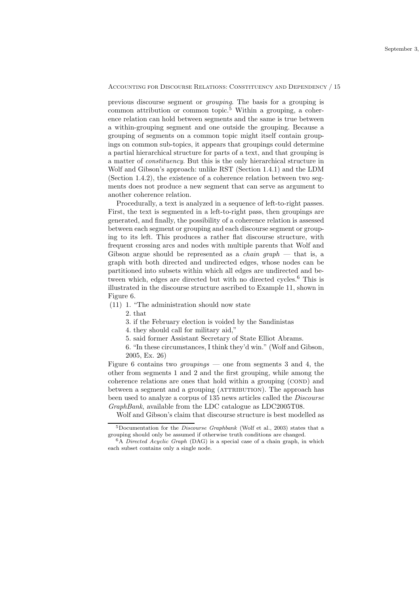previous discourse segment or grouping. The basis for a grouping is common attribution or common topic.<sup>5</sup> Within a grouping, a coherence relation can hold between segments and the same is true between a within-grouping segment and one outside the grouping. Because a grouping of segments on a common topic might itself contain groupings on common sub-topics, it appears that groupings could determine a partial hierarchical structure for parts of a text, and that grouping is a matter of constituency. But this is the only hierarchical structure in Wolf and Gibson's approach: unlike RST (Section 1.4.1) and the LDM (Section 1.4.2), the existence of a coherence relation between two segments does not produce a new segment that can serve as argument to another coherence relation.

Procedurally, a text is analyzed in a sequence of left-to-right passes. First, the text is segmented in a left-to-right pass, then groupings are generated, and finally, the possibility of a coherence relation is assessed between each segment or grouping and each discourse segment or grouping to its left. This produces a rather flat discourse structure, with frequent crossing arcs and nodes with multiple parents that Wolf and Gibson argue should be represented as a *chain graph*  $-$  that is, a graph with both directed and undirected edges, whose nodes can be partitioned into subsets within which all edges are undirected and between which, edges are directed but with no directed cycles.<sup>6</sup> This is illustrated in the discourse structure ascribed to Example 11, shown in Figure 6.

(11) 1. "The administration should now state

2. that

3. if the February election is voided by the Sandinistas

4. they should call for military aid,"

5. said former Assistant Secretary of State Elliot Abrams.

6. "In these circumstances, I think they'd win." (Wolf and Gibson, 2005, Ex. 26)

Figure 6 contains two *groupings* — one from segments 3 and 4, the other from segments 1 and 2 and the first grouping, while among the coherence relations are ones that hold within a grouping (COND) and between a segment and a grouping (ATTRIBUTION). The approach has been used to analyze a corpus of 135 news articles called the Discourse GraphBank, available from the LDC catalogue as LDC2005T08.

Wolf and Gibson's claim that discourse structure is best modelled as

 $5D$ ocumentation for the *Discourse Graphbank* (Wolf et al., 2003) states that a grouping should only be assumed if otherwise truth conditions are changed.

 $6A$  *Directed Acyclic Graph* (DAG) is a special case of a chain graph, in which each subset contains only a single node.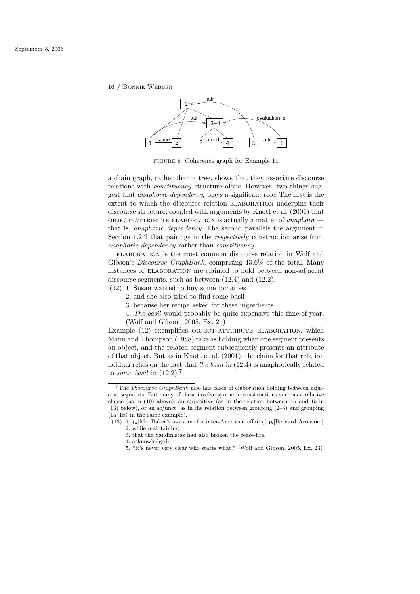

FIGURE 6 Coherence graph for Example 11

a chain graph, rather than a tree, shows that they associate discourse relations with *constituency* structure alone. However, two things suggest that anaphoric dependency plays a significant role. The first is the extent to which the discourse relation ELABORATION underpins their discourse structure, coupled with arguments by Knott et al. (2001) that OBJECT-ATTRIBUTE ELABORATION is actually a matter of *anaphora*  $$ that is, anaphoric dependency. The second parallels the argument in Section 1.2.2 that pairings in the respectively construction arise from anaphoric dependency rather than constituency.

elaboration is the most common discourse relation in Wolf and Gibson's Discourse GraphBank, comprising 43.6% of the total. Many instances of ELABORATION are claimed to hold between non-adjacent discourse segments, such as between (12.4) and (12.2).

- (12) 1. Susan wanted to buy some tomatoes
	- 2. and she also tried to find some basil
	- 3. because her recipe asked for these ingredients.
	- 4. The basil would probably be quite expensive this time of year. (Wolf and Gibson, 2005, Ex. 21)

Example (12) exemplifies OBJECT-ATTRIBUTE ELABORATION, which Mann and Thompson (1988) take as holding when one segment presents an object, and the related segment subsequently presents an attribute of that object. But as in Knott et al. (2001), the claim for that relation holding relies on the fact that the basil in  $(12.4)$  is anaphorically related to some basil in  $(12.2).<sup>7</sup>$ 

<sup>&</sup>lt;sup>7</sup>The *Discourse GraphBank* also has cases of elaboration holding between adjacent segments. But many of these involve syntactic constructions such as a relative clause (as in  $(10)$  above), an appositive (as in the relation between 1a and 1b in (13) below), or an adjunct (as in the relation between grouping (2–3) and grouping (1a–1b) in the same example).

<sup>(13) 1.</sup>  $_{1a}$ [Mr. Baker's assistant for inter-American affairs,]  $_{1b}$ [Bernard Aronson,] 2. while maintaining

<sup>3.</sup> that the Sandinistas had also broken the cease-fire,

<sup>4.</sup> acknowledged:

<sup>5. &</sup>quot;It's never very clear who starts what." (Wolf and Gibson, 2005, Ex. 23)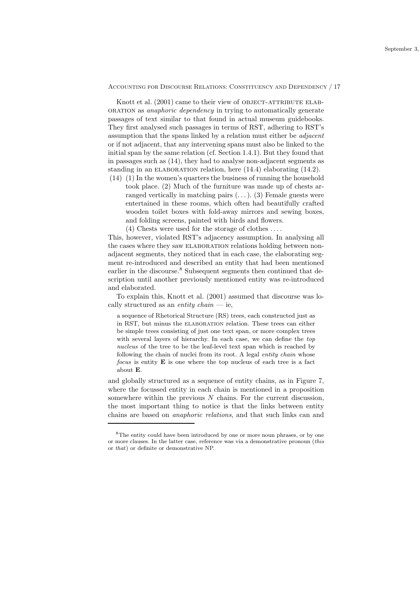Knott et al. (2001) came to their view of OBJECT-ATTRIBUTE ELABoration as anaphoric dependency in trying to automatically generate passages of text similar to that found in actual museum guidebooks. They first analysed such passages in terms of RST, adhering to RST's assumption that the spans linked by a relation must either be adjacent or if not adjacent, that any intervening spans must also be linked to the initial span by the same relation (cf. Section 1.4.1). But they found that in passages such as (14), they had to analyse non-adjacent segments as standing in an ELABORATION relation, here  $(14.4)$  elaborating  $(14.2)$ .

- (14) (1) In the women's quarters the business of running the household took place. (2) Much of the furniture was made up of chests arranged vertically in matching pairs  $(\ldots)$ . (3) Female guests were entertained in these rooms, which often had beautifully crafted wooden toilet boxes with fold-away mirrors and sewing boxes, and folding screens, painted with birds and flowers.
	- (4) Chests were used for the storage of clothes . . . .

This, however, violated RST's adjacency assumption. In analysing all the cases where they saw ELABORATION relations holding between nonadjacent segments, they noticed that in each case, the elaborating segment re-introduced and described an entity that had been mentioned earlier in the discourse.<sup>8</sup> Subsequent segments then continued that description until another previously mentioned entity was re-introduced and elaborated.

To explain this, Knott et al. (2001) assumed that discourse was locally structured as an *entity chain*  $-$  ie,

a sequence of Rhetorical Structure (RS) trees, each constructed just as in RST, but minus the elaboration relation. These trees can either be simple trees consisting of just one text span, or more complex trees with several layers of hierarchy. In each case, we can define the top nucleus of the tree to be the leaf-level text span which is reached by following the chain of nuclei from its root. A legal entity chain whose focus is entity  $E$  is one where the top nucleus of each tree is a fact about E.

and globally structured as a sequence of entity chains, as in Figure 7, where the focussed entity in each chain is mentioned in a proposition somewhere within the previous  $N$  chains. For the current discussion, the most important thing to notice is that the links between entity chains are based on anaphoric relations, and that such links can and

<sup>8</sup>The entity could have been introduced by one or more noun phrases, or by one or more clauses. In the latter case, reference was via a demonstrative pronoun (this or that) or definite or demonstrative NP.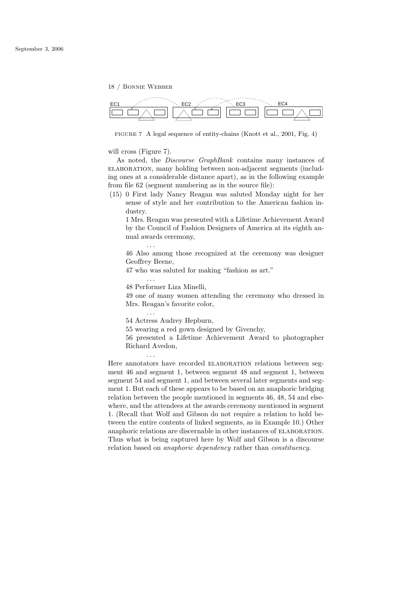

FIGURE 7 A legal sequence of entity-chains (Knott et al., 2001, Fig. 4)

### will cross (Figure 7).

As noted, the Discourse GraphBank contains many instances of elaboration, many holding between non-adjacent segments (including ones at a considerable distance apart), as in the following example from file 62 (segment numbering as in the source file):

(15) 0 First lady Nancy Reagan was saluted Monday night for her sense of style and her contribution to the American fashion industry.

1 Mrs. Reagan was presented with a Lifetime Achievement Award by the Council of Fashion Designers of America at its eighth annual awards ceremony,

46 Also among those recognized at the ceremony was designer Geoffrey Beene,

47 who was saluted for making "fashion as art."

48 Performer Liza Minelli,

. . .

. . .

. . .

. . .

49 one of many women attending the ceremony who dressed in Mrs. Reagan's favorite color,

54 Actress Audrey Hepburn,

55 wearing a red gown designed by Givenchy,

56 presented a Lifetime Achievement Award to photographer Richard Avedon,

Here annotators have recorded ELABORATION relations between segment 46 and segment 1, between segment 48 and segment 1, between segment 54 and segment 1, and between several later segments and segment 1. But each of these appears to be based on an anaphoric bridging relation between the people mentioned in segments 46, 48, 54 and elsewhere, and the attendees at the awards ceremony mentioned in segment 1. (Recall that Wolf and Gibson do not require a relation to hold between the entire contents of linked segments, as in Example 10.) Other anaphoric relations are discernable in other instances of ELABORATION. Thus what is being captured here by Wolf and Gibson is a discourse relation based on anaphoric dependency rather than constituency.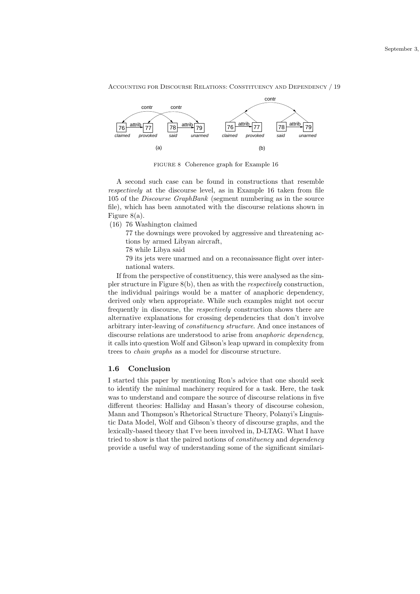

FIGURE 8 Coherence graph for Example 16

A second such case can be found in constructions that resemble respectively at the discourse level, as in Example 16 taken from file 105 of the Discourse GraphBank (segment numbering as in the source file), which has been annotated with the discourse relations shown in Figure 8(a).

(16) 76 Washington claimed

77 the downings were provoked by aggressive and threatening actions by armed Libyan aircraft,

78 while Libya said

79 its jets were unarmed and on a reconaissance flight over international waters.

If from the perspective of constituency, this were analysed as the simpler structure in Figure 8(b), then as with the respectively construction, the individual pairings would be a matter of anaphoric dependency, derived only when appropriate. While such examples might not occur frequently in discourse, the respectively construction shows there are alternative explanations for crossing dependencies that don't involve arbitrary inter-leaving of constituency structure. And once instances of discourse relations are understood to arise from anaphoric dependency, it calls into question Wolf and Gibson's leap upward in complexity from trees to chain graphs as a model for discourse structure.

#### 1.6 Conclusion

I started this paper by mentioning Ron's advice that one should seek to identify the minimal machinery required for a task. Here, the task was to understand and compare the source of discourse relations in five different theories: Halliday and Hasan's theory of discourse cohesion, Mann and Thompson's Rhetorical Structure Theory, Polanyi's Linguistic Data Model, Wolf and Gibson's theory of discourse graphs, and the lexically-based theory that I've been involved in, D-LTAG. What I have tried to show is that the paired notions of constituency and dependency provide a useful way of understanding some of the significant similari-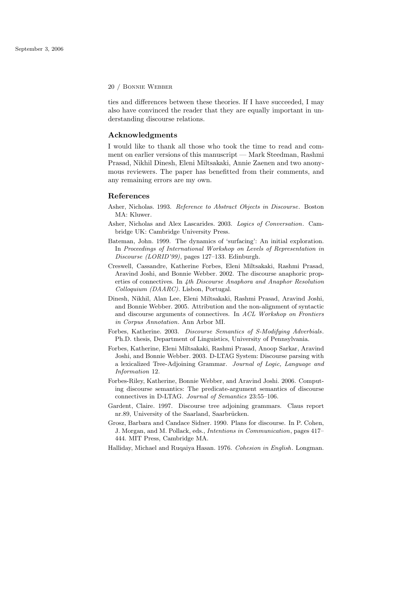ties and differences between these theories. If I have succeeded, I may also have convinced the reader that they are equally important in understanding discourse relations.

## Acknowledgments

I would like to thank all those who took the time to read and comment on earlier versions of this manuscript — Mark Steedman, Rashmi Prasad, Nikhil Dinesh, Eleni Miltsakaki, Annie Zaenen and two anonymous reviewers. The paper has benefitted from their comments, and any remaining errors are my own.

### References

- Asher, Nicholas. 1993. Reference to Abstract Objects in Discourse. Boston MA: Kluwer.
- Asher, Nicholas and Alex Lascarides. 2003. Logics of Conversation. Cambridge UK: Cambridge University Press.
- Bateman, John. 1999. The dynamics of 'surfacing': An initial exploration. In Proceedings of International Workshop on Levels of Representation in Discourse (LORID'99), pages 127–133. Edinburgh.
- Creswell, Cassandre, Katherine Forbes, Eleni Miltsakaki, Rashmi Prasad, Aravind Joshi, and Bonnie Webber. 2002. The discourse anaphoric properties of connectives. In 4th Discourse Anaphora and Anaphor Resolution Colloquium (DAARC). Lisbon, Portugal.
- Dinesh, Nikhil, Alan Lee, Eleni Miltsakaki, Rashmi Prasad, Aravind Joshi, and Bonnie Webber. 2005. Attribution and the non-alignment of syntactic and discourse arguments of connectives. In ACL Workshop on Frontiers in Corpus Annotation. Ann Arbor MI.
- Forbes, Katherine. 2003. Discourse Semantics of S-Modifying Adverbials. Ph.D. thesis, Department of Linguistics, University of Pennsylvania.
- Forbes, Katherine, Eleni Miltsakaki, Rashmi Prasad, Anoop Sarkar, Aravind Joshi, and Bonnie Webber. 2003. D-LTAG System: Discourse parsing with a lexicalized Tree-Adjoining Grammar. Journal of Logic, Language and Information 12.
- Forbes-Riley, Katherine, Bonnie Webber, and Aravind Joshi. 2006. Computing discourse semantics: The predicate-argument semantics of discourse connectives in D-LTAG. Journal of Semantics 23:55–106.
- Gardent, Claire. 1997. Discourse tree adjoining grammars. Claus report nr.89, University of the Saarland, Saarbrücken.
- Grosz, Barbara and Candace Sidner. 1990. Plans for discourse. In P. Cohen, J. Morgan, and M. Pollack, eds., Intentions in Communication, pages 417– 444. MIT Press, Cambridge MA.
- Halliday, Michael and Ruqaiya Hasan. 1976. Cohesion in English. Longman.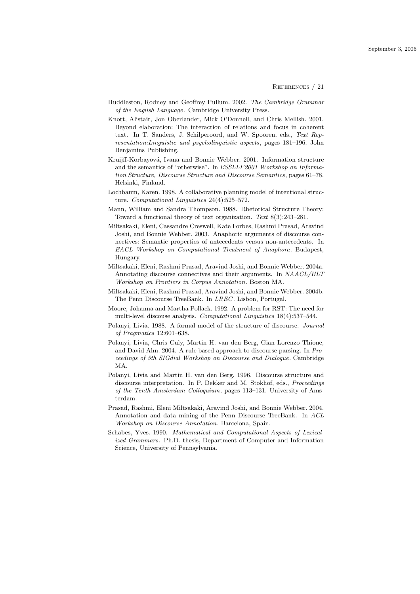References / 21

- Huddleston, Rodney and Geoffrey Pullum. 2002. The Cambridge Grammar of the English Language. Cambridge University Press.
- Knott, Alistair, Jon Oberlander, Mick O'Donnell, and Chris Mellish. 2001. Beyond elaboration: The interaction of relations and focus in coherent text. In T. Sanders, J. Schilperoord, and W. Spooren, eds., Text Representation:Linguistic and psycholinguistic aspects, pages 181–196. John Benjamins Publishing.
- Kruijff-Korbayová, Ivana and Bonnie Webber. 2001. Information structure and the semantics of "otherwise". In ESSLLI'2001 Workshop on Information Structure, Discourse Structure and Discourse Semantics, pages 61–78. Helsinki, Finland.
- Lochbaum, Karen. 1998. A collaborative planning model of intentional structure. Computational Linguistics 24(4):525–572.
- Mann, William and Sandra Thompson. 1988. Rhetorical Structure Theory: Toward a functional theory of text organization. Text 8(3):243–281.
- Miltsakaki, Eleni, Cassandre Creswell, Kate Forbes, Rashmi Prasad, Aravind Joshi, and Bonnie Webber. 2003. Anaphoric arguments of discourse connectives: Semantic properties of antecedents versus non-antecedents. In EACL Workshop on Computational Treatment of Anaphora. Budapest, Hungary.
- Miltsakaki, Eleni, Rashmi Prasad, Aravind Joshi, and Bonnie Webber. 2004a. Annotating discourse connectives and their arguments. In NAACL/HLT Workshop on Frontiers in Corpus Annotation. Boston MA.
- Miltsakaki, Eleni, Rashmi Prasad, Aravind Joshi, and Bonnie Webber. 2004b. The Penn Discourse TreeBank. In *LREC*. Lisbon, Portugal.
- Moore, Johanna and Martha Pollack. 1992. A problem for RST: The need for multi-level discouse analysis. Computational Linguistics 18(4):537–544.
- Polanyi, Livia. 1988. A formal model of the structure of discourse. Journal of Pragmatics 12:601–638.
- Polanyi, Livia, Chris Culy, Martin H. van den Berg, Gian Lorenzo Thione, and David Ahn. 2004. A rule based approach to discourse parsing. In Proceedings of 5th SIGdial Workshop on Discourse and Dialogue. Cambridge MA.
- Polanyi, Livia and Martin H. van den Berg. 1996. Discourse structure and discourse interpretation. In P. Dekker and M. Stokhof, eds., Proceedings of the Tenth Amsterdam Colloquium, pages 113–131. University of Amsterdam.
- Prasad, Rashmi, Eleni Miltsakaki, Aravind Joshi, and Bonnie Webber. 2004. Annotation and data mining of the Penn Discourse TreeBank. In ACL Workshop on Discourse Annotation. Barcelona, Spain.
- Schabes, Yves. 1990. Mathematical and Computational Aspects of Lexicalized Grammars. Ph.D. thesis, Department of Computer and Information Science, University of Pennsylvania.